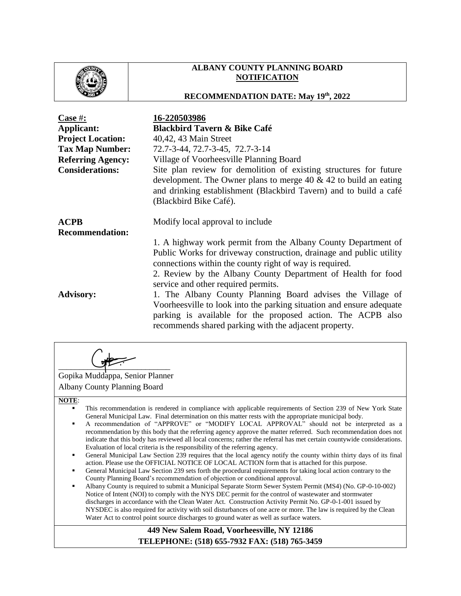

# **ALBANY COUNTY PLANNING BOARD NOTIFICATION**

# **RECOMMENDATION DATE: May 19th, 2022**

| Case $#$ :<br>Applicant:<br><b>Project Location:</b><br><b>Tax Map Number:</b><br><b>Referring Agency:</b><br><b>Considerations:</b> | 16-220503986<br><b>Blackbird Tavern &amp; Bike Café</b><br>40,42, 43 Main Street<br>72.7-3-44, 72.7-3-45, 72.7-3-14<br>Village of Voorheesville Planning Board<br>Site plan review for demolition of existing structures for future<br>development. The Owner plans to merge 40 $\&$ 42 to build an eating<br>and drinking establishment (Blackbird Tavern) and to build a café<br>(Blackbird Bike Café). |
|--------------------------------------------------------------------------------------------------------------------------------------|-----------------------------------------------------------------------------------------------------------------------------------------------------------------------------------------------------------------------------------------------------------------------------------------------------------------------------------------------------------------------------------------------------------|
| <b>ACPB</b><br><b>Recommendation:</b>                                                                                                | Modify local approval to include<br>1. A highway work permit from the Albany County Department of<br>Public Works for driveway construction, drainage and public utility<br>connections within the county right of way is required.<br>2. Review by the Albany County Department of Health for food<br>service and other required permits.                                                                |
| <b>Advisory:</b>                                                                                                                     | 1. The Albany County Planning Board advises the Village of<br>Voorhees ville to look into the parking situation and ensure adequate<br>parking is available for the proposed action. The ACPB also<br>recommends shared parking with the adjacent property.                                                                                                                                               |

 $\overline{\phantom{a}}$ 

Gopika Muddappa, Senior Planner Albany County Planning Board

### **NOTE**:

- This recommendation is rendered in compliance with applicable requirements of Section 239 of New York State General Municipal Law. Final determination on this matter rests with the appropriate municipal body.
- A recommendation of "APPROVE" or "MODIFY LOCAL APPROVAL" should not be interpreted as a recommendation by this body that the referring agency approve the matter referred. Such recommendation does not indicate that this body has reviewed all local concerns; rather the referral has met certain countywide considerations. Evaluation of local criteria is the responsibility of the referring agency.
- General Municipal Law Section 239 requires that the local agency notify the county within thirty days of its final action. Please use the OFFICIAL NOTICE OF LOCAL ACTION form that is attached for this purpose.
- General Municipal Law Section 239 sets forth the procedural requirements for taking local action contrary to the County Planning Board's recommendation of objection or conditional approval.
- Albany County is required to submit a Municipal Separate Storm Sewer System Permit (MS4) (No. GP-0-10-002) Notice of Intent (NOI) to comply with the NYS DEC permit for the control of wastewater and stormwater discharges in accordance with the Clean Water Act. Construction Activity Permit No. GP-0-1-001 issued by NYSDEC is also required for activity with soil disturbances of one acre or more. The law is required by the Clean Water Act to control point source discharges to ground water as well as surface waters.

## **449 New Salem Road, Voorheesville, NY 12186 TELEPHONE: (518) 655-7932 FAX: (518) 765-3459**